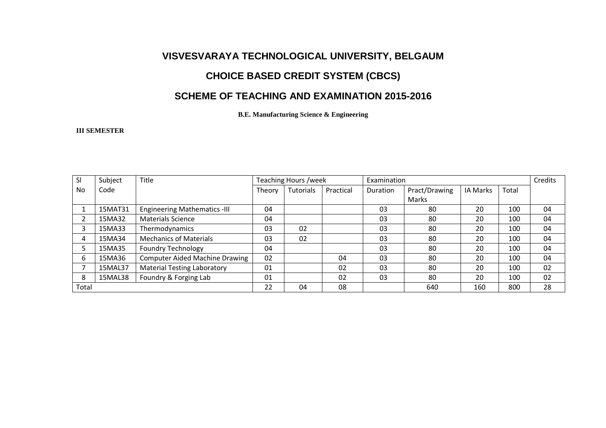# **VISVESVARAYA TECHNOLOGICAL UNIVERSITY, BELGAUM**

### **CHOICE BASED CREDIT SYSTEM (CBCS)**

### **SCHEME OF TEACHING AND EXAMINATION 2015-2016**

**B.E. Manufacturing Science & Engineering** 

#### **III SEMESTER**

| SI    | Subject | Title                                 | Teaching Hours /week |           |           | Examination |               |          |       | Credits |
|-------|---------|---------------------------------------|----------------------|-----------|-----------|-------------|---------------|----------|-------|---------|
| No    | Code    |                                       | Theory               | Tutorials | Practical | Duration    | Pract/Drawing | IA Marks | Total |         |
|       |         |                                       |                      |           |           |             | Marks         |          |       |         |
|       | 15MAT31 | <b>Engineering Mathematics -III</b>   | 04                   |           |           | 03          | 80            | 20       | 100   | 04      |
|       | 15MA32  | <b>Materials Science</b>              | 04                   |           |           | 03          | 80            | 20       | 100   | 04      |
|       | 15MA33  | Thermodynamics                        | 03                   | 02        |           | 03          | 80            | 20       | 100   | 04      |
| 4     | 15MA34  | <b>Mechanics of Materials</b>         | 03                   | 02        |           | 03          | 80            | 20       | 100   | 04      |
|       | 15MA35  | <b>Foundry Technology</b>             | 04                   |           |           | 03          | 80            | 20       | 100   | 04      |
| 6     | 15MA36  | <b>Computer Aided Machine Drawing</b> | 02                   |           | 04        | 03          | 80            | 20       | 100   | 04      |
|       | 15MAL37 | <b>Material Testing Laboratory</b>    | 01                   |           | 02        | 03          | 80            | 20       | 100   | 02      |
| 8     | 15MAL38 | Foundry & Forging Lab                 | 01                   |           | 02        | 03          | 80            | 20       | 100   | 02      |
| Total |         |                                       | 22                   | 04        | 08        |             | 640           | 160      | 800   | 28      |